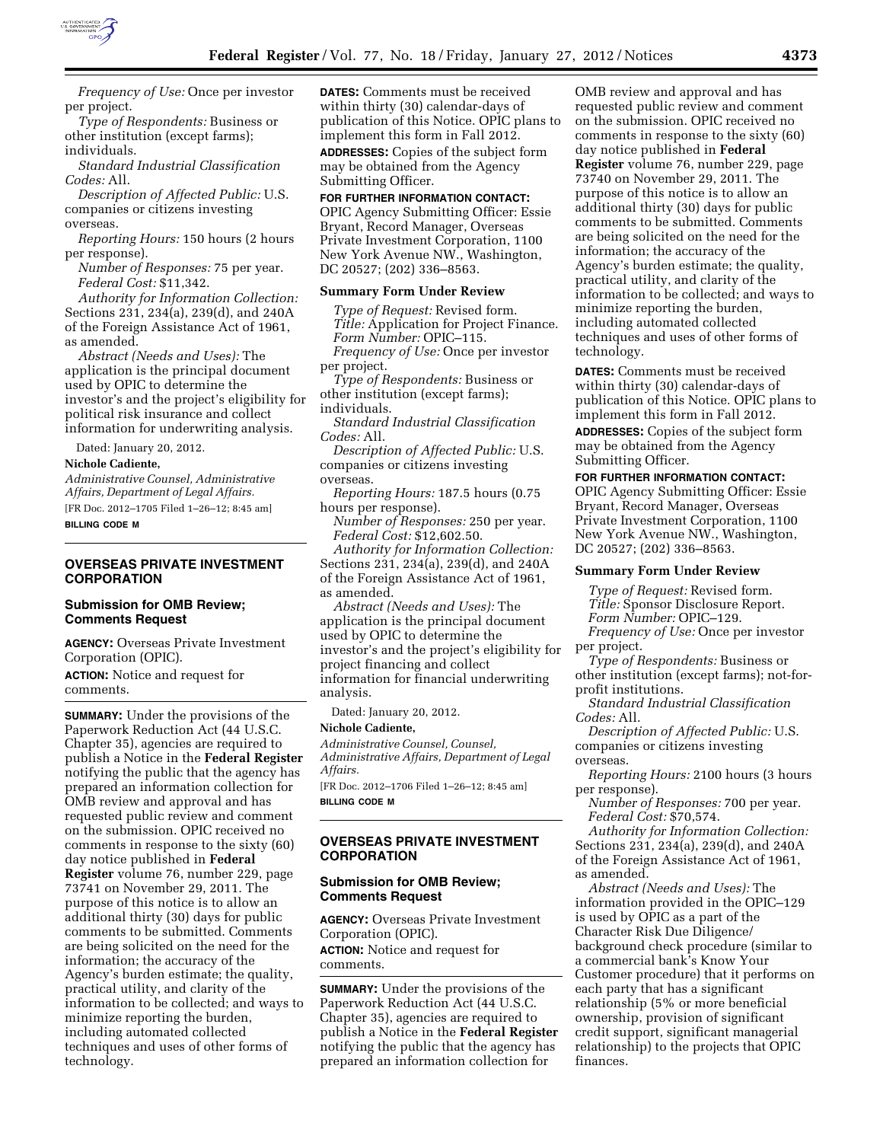

*Frequency of Use:* Once per investor per project.

*Type of Respondents:* Business or other institution (except farms); individuals.

*Standard Industrial Classification Codes:* All.

*Description of Affected Public:* U.S. companies or citizens investing overseas.

*Reporting Hours:* 150 hours (2 hours per response).

*Number of Responses:* 75 per year. *Federal Cost:* \$11,342.

*Authority for Information Collection:*  Sections 231, 234(a), 239(d), and 240A of the Foreign Assistance Act of 1961, as amended.

*Abstract (Needs and Uses):* The application is the principal document used by OPIC to determine the investor's and the project's eligibility for political risk insurance and collect information for underwriting analysis.

Dated: January 20, 2012.

#### **Nichole Cadiente,**

*Administrative Counsel, Administrative Affairs, Department of Legal Affairs.*  [FR Doc. 2012–1705 Filed 1–26–12; 8:45 am] **BILLING CODE M** 

### **OVERSEAS PRIVATE INVESTMENT CORPORATION**

### **Submission for OMB Review; Comments Request**

**AGENCY:** Overseas Private Investment Corporation (OPIC).

**ACTION:** Notice and request for comments.

**SUMMARY:** Under the provisions of the Paperwork Reduction Act (44 U.S.C. Chapter 35), agencies are required to publish a Notice in the **Federal Register**  notifying the public that the agency has prepared an information collection for OMB review and approval and has requested public review and comment on the submission. OPIC received no comments in response to the sixty (60) day notice published in **Federal Register** volume 76, number 229, page 73741 on November 29, 2011. The purpose of this notice is to allow an additional thirty (30) days for public comments to be submitted. Comments are being solicited on the need for the information; the accuracy of the Agency's burden estimate; the quality, practical utility, and clarity of the information to be collected; and ways to minimize reporting the burden, including automated collected techniques and uses of other forms of technology.

**DATES:** Comments must be received within thirty (30) calendar-days of publication of this Notice. OPIC plans to implement this form in Fall 2012.

**ADDRESSES:** Copies of the subject form may be obtained from the Agency Submitting Officer.

### **FOR FURTHER INFORMATION CONTACT:**

OPIC Agency Submitting Officer: Essie Bryant, Record Manager, Overseas Private Investment Corporation, 1100 New York Avenue NW., Washington, DC 20527; (202) 336–8563.

#### **Summary Form Under Review**

*Type of Request:* Revised form. *Title:* Application for Project Finance. *Form Number:* OPIC–115. *Frequency of Use:* Once per investor per project.

*Type of Respondents:* Business or other institution (except farms); individuals.

*Standard Industrial Classification Codes:* All.

*Description of Affected Public:* U.S. companies or citizens investing overseas.

*Reporting Hours:* 187.5 hours (0.75 hours per response).

*Number of Responses:* 250 per year. *Federal Cost:* \$12,602.50.

*Authority for Information Collection:*  Sections 231, 234(a), 239(d), and 240A of the Foreign Assistance Act of 1961, as amended.

*Abstract (Needs and Uses):* The application is the principal document used by OPIC to determine the investor's and the project's eligibility for project financing and collect information for financial underwriting analysis.

Dated: January 20, 2012.

**Nichole Cadiente,** 

*Administrative Counsel, Counsel, Administrative Affairs, Department of Legal Affairs.* 

[FR Doc. 2012–1706 Filed 1–26–12; 8:45 am] **BILLING CODE M** 

### **OVERSEAS PRIVATE INVESTMENT CORPORATION**

#### **Submission for OMB Review; Comments Request**

**AGENCY:** Overseas Private Investment Corporation (OPIC). **ACTION:** Notice and request for

comments.

**SUMMARY:** Under the provisions of the Paperwork Reduction Act (44 U.S.C. Chapter 35), agencies are required to publish a Notice in the **Federal Register**  notifying the public that the agency has prepared an information collection for

OMB review and approval and has requested public review and comment on the submission. OPIC received no comments in response to the sixty (60) day notice published in **Federal Register** volume 76, number 229, page 73740 on November 29, 2011. The purpose of this notice is to allow an additional thirty (30) days for public comments to be submitted. Comments are being solicited on the need for the information; the accuracy of the Agency's burden estimate; the quality, practical utility, and clarity of the information to be collected; and ways to minimize reporting the burden, including automated collected techniques and uses of other forms of technology.

**DATES:** Comments must be received within thirty (30) calendar-days of publication of this Notice. OPIC plans to implement this form in Fall 2012.

**ADDRESSES:** Copies of the subject form may be obtained from the Agency Submitting Officer.

**FOR FURTHER INFORMATION CONTACT:**  OPIC Agency Submitting Officer: Essie Bryant, Record Manager, Overseas Private Investment Corporation, 1100 New York Avenue NW., Washington,

### **Summary Form Under Review**

DC 20527; (202) 336–8563.

*Type of Request:* Revised form. *Title:* Sponsor Disclosure Report.

*Form Number:* OPIC–129.

*Frequency of Use:* Once per investor per project.

*Type of Respondents:* Business or other institution (except farms); not-forprofit institutions.

*Standard Industrial Classification Codes:* All.

*Description of Affected Public:* U.S. companies or citizens investing overseas.

*Reporting Hours:* 2100 hours (3 hours per response).

*Number of Responses:* 700 per year. *Federal Cost:* \$70,574.

*Authority for Information Collection:*  Sections 231, 234(a), 239(d), and 240A of the Foreign Assistance Act of 1961, as amended.

*Abstract (Needs and Uses):* The information provided in the OPIC–129 is used by OPIC as a part of the Character Risk Due Diligence/ background check procedure (similar to a commercial bank's Know Your Customer procedure) that it performs on each party that has a significant relationship (5% or more beneficial ownership, provision of significant credit support, significant managerial relationship) to the projects that OPIC finances.